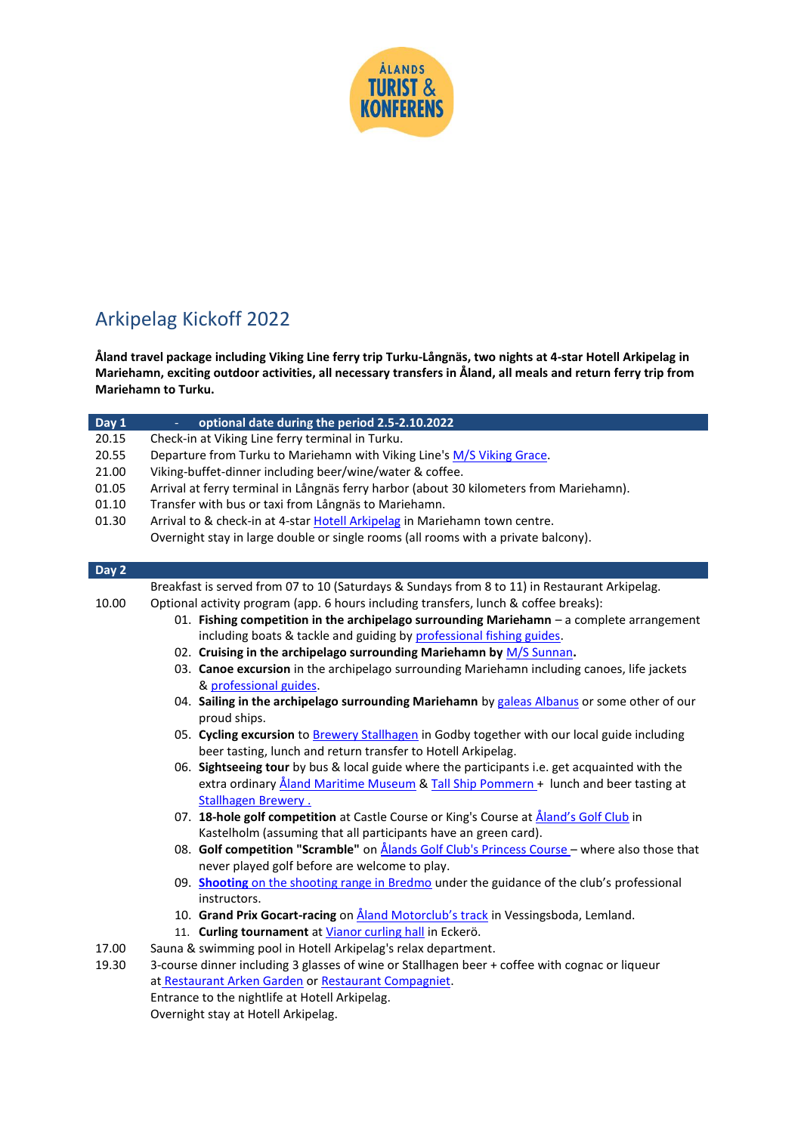

## Arkipelag Kickoff 2022

**Åland travel package including Viking Line ferry trip Turku-Långnäs, two nights at 4-star Hotell Arkipelag in Mariehamn, exciting outdoor activities, all necessary transfers in Åland, all meals and return ferry trip from Mariehamn to Turku.**

| Day 1 | optional date during the period 2.5-2.10.2022                                                        |  |  |
|-------|------------------------------------------------------------------------------------------------------|--|--|
| 20.15 | Check-in at Viking Line ferry terminal in Turku.                                                     |  |  |
| 20.55 | Departure from Turku to Mariehamn with Viking Line's M/S Viking Grace.                               |  |  |
| 21.00 | Viking-buffet-dinner including beer/wine/water & coffee.                                             |  |  |
| 01.05 | Arrival at ferry terminal in Långnäs ferry harbor (about 30 kilometers from Mariehamn).              |  |  |
| 01.10 | Transfer with bus or taxi from Långnäs to Mariehamn.                                                 |  |  |
| 01.30 | Arrival to & check-in at 4-star Hotell Arkipelag in Mariehamn town centre.                           |  |  |
|       | Overnight stay in large double or single rooms (all rooms with a private balcony).                   |  |  |
|       |                                                                                                      |  |  |
| Day 2 |                                                                                                      |  |  |
|       | Breakfast is served from 07 to 10 (Saturdays & Sundays from 8 to 11) in Restaurant Arkipelag.        |  |  |
| 10.00 | Optional activity program (app. 6 hours including transfers, lunch & coffee breaks):                 |  |  |
|       | 01. Fishing competition in the archipelago surrounding Mariehamn - a complete arrangement            |  |  |
|       | including boats & tackle and guiding by professional fishing guides.                                 |  |  |
|       | 02. Cruising in the archipelago surrounding Mariehamn by M/S Sunnan.                                 |  |  |
|       | 03. Canoe excursion in the archipelago surrounding Mariehamn including canoes, life jackets          |  |  |
|       | & professional guides.                                                                               |  |  |
|       | 04. Sailing in the archipelago surrounding Mariehamn by galeas Albanus or some other of our          |  |  |
|       | proud ships.                                                                                         |  |  |
|       | 05. Cycling excursion to Brewery Stallhagen in Godby together with our local guide including         |  |  |
|       | beer tasting, lunch and return transfer to Hotell Arkipelag.                                         |  |  |
|       | 06. Sightseeing tour by bus & local guide where the participants i.e. get acquainted with the        |  |  |
|       | extra ordinary Åland Maritime Museum & Tall Ship Pommern + lunch and beer tasting at                 |  |  |
|       | <b>Stallhagen Brewery.</b>                                                                           |  |  |
|       | 07. 18-hole golf competition at Castle Course or King's Course at Aland's Golf Club in               |  |  |
|       | Kastelholm (assuming that all participants have an green card).                                      |  |  |
|       | 08. Golf competition "Scramble" on <b>Ålands Golf Club's Princess Course</b> - where also those that |  |  |
|       | never played golf before are welcome to play.                                                        |  |  |
|       | 09. Shooting on the shooting range in Bredmo under the guidance of the club's professional           |  |  |
|       | instructors.                                                                                         |  |  |
|       | 10. Grand Prix Gocart-racing on <i>Aland Motorclub's track</i> in Vessingsboda, Lemland.             |  |  |
|       | 11. Curling tournament at Vianor curling hall in Eckerö.                                             |  |  |
| 17.00 | Sauna & swimming pool in Hotell Arkipelag's relax department.                                        |  |  |
| 19.30 | 3-course dinner including 3 glasses of wine or Stallhagen beer + coffee with cognac or liqueur       |  |  |
|       | at Restaurant Arken Garden or Restaurant Compagniet.                                                 |  |  |
|       | Entrance to the nightlife at Hotell Arkipelag.                                                       |  |  |

Overnight stay at Hotell Arkipelag.